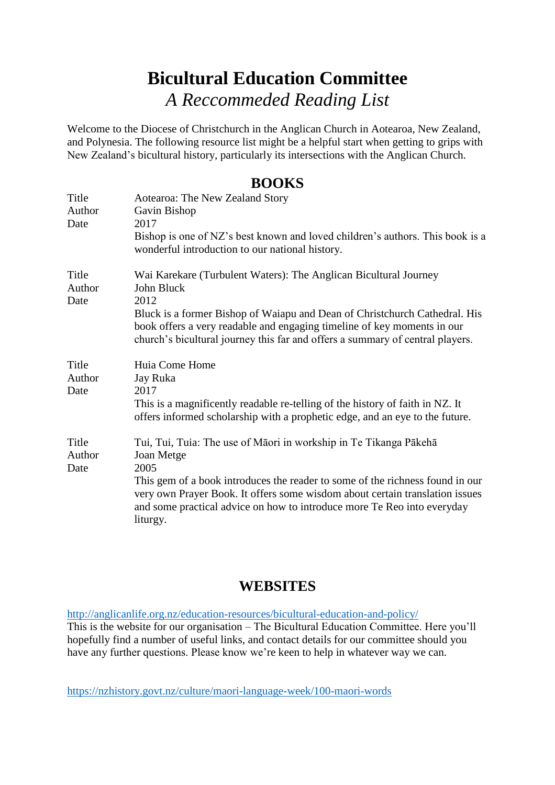## **Bicultural Education Committee** *A Reccommeded Reading List*

Welcome to the Diocese of Christchurch in the Anglican Church in Aotearoa, New Zealand, and Polynesia. The following resource list might be a helpful start when getting to grips with New Zealand's bicultural history, particularly its intersections with the Anglican Church.

## **BOOKS**

| Title<br>Author<br>Date | Aotearoa: The New Zealand Story<br>Gavin Bishop<br>2017<br>Bishop is one of NZ's best known and loved children's authors. This book is a<br>wonderful introduction to our national history.                                                                                                                                                     |
|-------------------------|-------------------------------------------------------------------------------------------------------------------------------------------------------------------------------------------------------------------------------------------------------------------------------------------------------------------------------------------------|
| Title<br>Author<br>Date | Wai Karekare (Turbulent Waters): The Anglican Bicultural Journey<br>John Bluck<br>2012<br>Bluck is a former Bishop of Waiapu and Dean of Christchurch Cathedral. His<br>book offers a very readable and engaging timeline of key moments in our<br>church's bicultural journey this far and offers a summary of central players.                |
| Title<br>Author<br>Date | Huia Come Home<br>Jay Ruka<br>2017<br>This is a magnificently readable re-telling of the history of faith in NZ. It<br>offers informed scholarship with a prophetic edge, and an eye to the future.                                                                                                                                             |
| Title<br>Author<br>Date | Tui, Tui, Tuia: The use of Māori in workship in Te Tikanga Pākehā<br>Joan Metge<br>2005<br>This gem of a book introduces the reader to some of the richness found in our<br>very own Prayer Book. It offers some wisdom about certain translation issues<br>and some practical advice on how to introduce more Te Reo into everyday<br>liturgy. |

## **WEBSITES**

<http://anglicanlife.org.nz/education-resources/bicultural-education-and-policy/> This is the website for our organisation – The Bicultural Education Committee. Here you'll hopefully find a number of useful links, and contact details for our committee should you have any further questions. Please know we're keen to help in whatever way we can.

<https://nzhistory.govt.nz/culture/maori-language-week/100-maori-words>